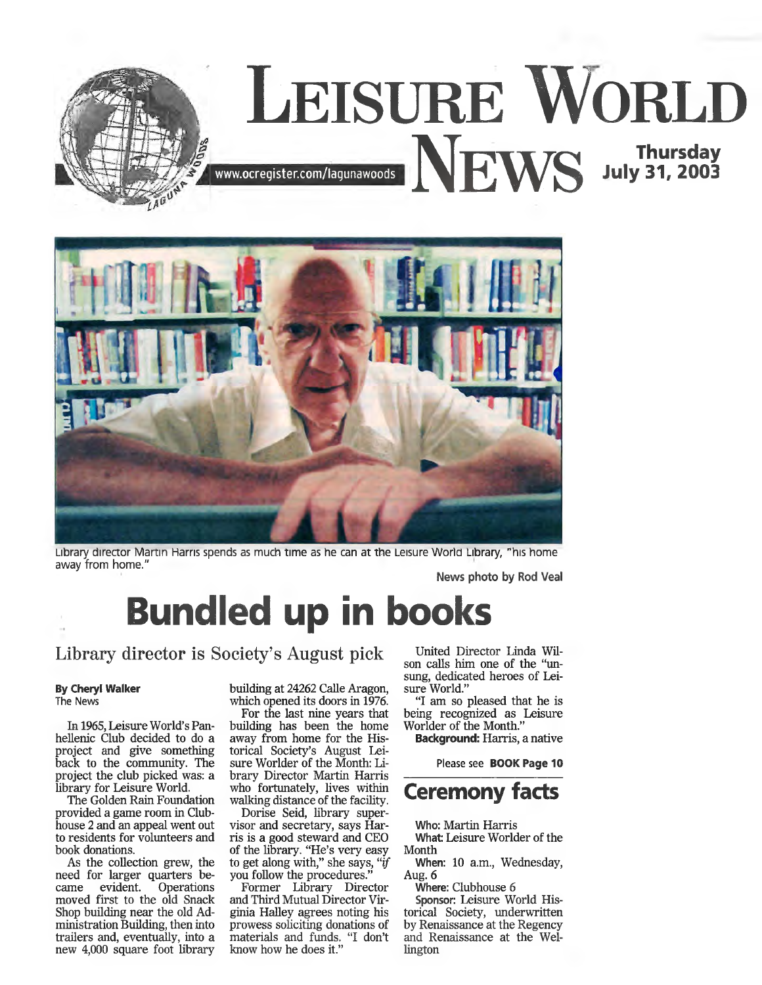



Library director Martin Harris spends as much time as he can at the Leisure World Library, "his home away from home."

News photo by Rod Veal

# **Bundled up In hooks**

Library director is Society's August pick

#### By **Cheryl Walker** The News

In 1965, Leisure World's Panhellenic Club decided to do a project and give something back to the community. The project the club picked was: a library for Leisure World.

The Golden Rain Foundation provided a game room in Clubhouse 2 and an appeal went out to residents for volunteers and book donations.

As the collection grew, the need for larger quarters became evident. Operations moved first to the old Snack Shop building near the old Administration Building, then into trailers and, eventually, into a new 4,000 square foot library

building at 24262 Calle Aragon, which opened its doors in 1976.

For the last nine years that building has been the home away from home for the Historical Society's August Leisure Worlder of the Month: Library Director Martin Harris who fortunately, lives within walking distance of the facility.

Dorise Seid, library supervisor and secretary, says Harris is a good steward and CEO of the library. "He's very easy to get along with," she says, *"if* you follow the procedures."

Former Library Director and Third Mutual Director Virginia Halley agrees noting his prowess soliciting donations of materials and funds. "I don't know how he does it."

United Director Linda Wilson calls him one of the "unsung, dedicated heroes of Leisure World."

"I am so pleased that he is being recognized as Leisure Worlder of the Month."

**Background:** Harris, a native

Please see **BOOK Page 10**

### **Ceremony facts**

Who: Martin Harris

What: Leisure Worlder of the Month

When: 10 a.m., Wednesday, Aug. 6

Where: Clubhouse 6

Sponsor: Leisure World Historical Society, underwritten by Renaissance at the Regency and Renaissance at the Wellington